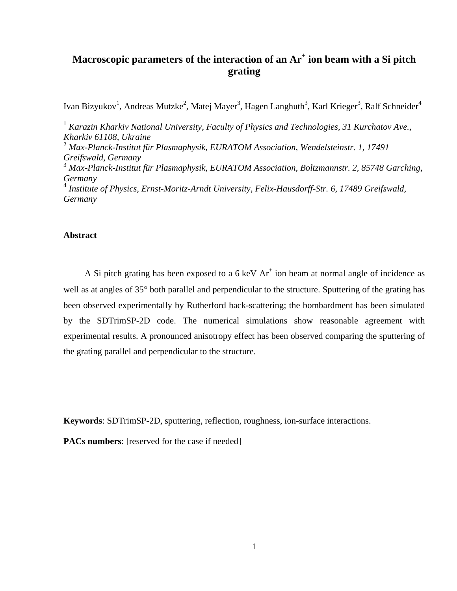# **Macroscopic parameters of the interaction of an Ar<sup>+</sup> ion beam with a Si pitch grating**

Ivan Bizyukov<sup>1</sup>, Andreas Mutzke<sup>2</sup>, Matej Mayer<sup>3</sup>, Hagen Langhuth<sup>3</sup>, Karl Krieger<sup>3</sup>, Ralf Schneider<sup>4</sup>

<sup>1</sup> Karazin Kharkiv National University, Faculty of Physics and Technologies, 31 Kurchatov Ave., *Kharkiv 61108, Ukraine*  2  *Max-Planck-Institut für Plasmaphysik, EURATOM Association, Wendelsteinstr. 1, 17491 Greifswald, Germany*  3  *Max-Planck-Institut für Plasmaphysik, EURATOM Association, Boltzmannstr. 2, 85748 Garching, Germany*  4  *Institute of Physics, Ernst-Moritz-Arndt University, Felix-Hausdorff-Str. 6, 17489 Greifswald, Germany* 

# **Abstract**

A Si pitch grating has been exposed to a  $6 \text{ keV}$   $\text{Ar}^+$  ion beam at normal angle of incidence as well as at angles of 35° both parallel and perpendicular to the structure. Sputtering of the grating has been observed experimentally by Rutherford back-scattering; the bombardment has been simulated by the SDTrimSP-2D code. The numerical simulations show reasonable agreement with experimental results. A pronounced anisotropy effect has been observed comparing the sputtering of the grating parallel and perpendicular to the structure.

**Keywords**: SDTrimSP-2D, sputtering, reflection, roughness, ion-surface interactions.

**PACs numbers:** [reserved for the case if needed]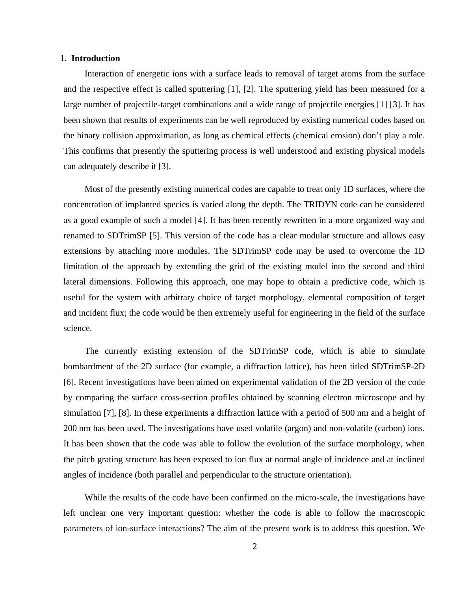## **1. Introduction**

Interaction of energetic ions with a surface leads to removal of target atoms from the surface and the respective effect is called sputtering [1], [2]. The sputtering yield has been measured for a large number of projectile-target combinations and a wide range of projectile energies [1] [3]. It has been shown that results of experiments can be well reproduced by existing numerical codes based on the binary collision approximation, as long as chemical effects (chemical erosion) don't play a role. This confirms that presently the sputtering process is well understood and existing physical models can adequately describe it [3].

Most of the presently existing numerical codes are capable to treat only 1D surfaces, where the concentration of implanted species is varied along the depth. The TRIDYN code can be considered as a good example of such a model [4]. It has been recently rewritten in a more organized way and renamed to SDTrimSP [5]. This version of the code has a clear modular structure and allows easy extensions by attaching more modules. The SDTrimSP code may be used to overcome the 1D limitation of the approach by extending the grid of the existing model into the second and third lateral dimensions. Following this approach, one may hope to obtain a predictive code, which is useful for the system with arbitrary choice of target morphology, elemental composition of target and incident flux; the code would be then extremely useful for engineering in the field of the surface science.

The currently existing extension of the SDTrimSP code, which is able to simulate bombardment of the 2D surface (for example, a diffraction lattice), has been titled SDTrimSP-2D [6]. Recent investigations have been aimed on experimental validation of the 2D version of the code by comparing the surface cross-section profiles obtained by scanning electron microscope and by simulation [7], [8]. In these experiments a diffraction lattice with a period of 500 nm and a height of 200 nm has been used. The investigations have used volatile (argon) and non-volatile (carbon) ions. It has been shown that the code was able to follow the evolution of the surface morphology, when the pitch grating structure has been exposed to ion flux at normal angle of incidence and at inclined angles of incidence (both parallel and perpendicular to the structure orientation).

While the results of the code have been confirmed on the micro-scale, the investigations have left unclear one very important question: whether the code is able to follow the macroscopic parameters of ion-surface interactions? The aim of the present work is to address this question. We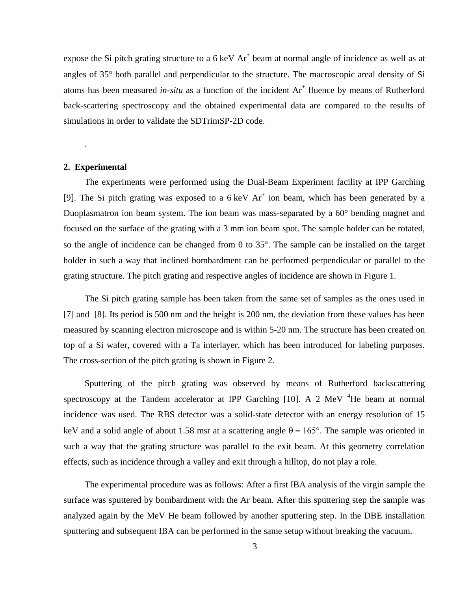expose the Si pitch grating structure to a  $6 \text{ keV Ar}^+$  beam at normal angle of incidence as well as at angles of 35° both parallel and perpendicular to the structure. The macroscopic areal density of Si atoms has been measured *in-situ* as a function of the incident  $Ar^+$  fluence by means of Rutherford back-scattering spectroscopy and the obtained experimental data are compared to the results of simulations in order to validate the SDTrimSP-2D code.

# **2. Experimental**

.

The experiments were performed using the Dual-Beam Experiment facility at IPP Garching [9]. The Si pitch grating was exposed to a  $6 \text{ keV } Ar^+$  ion beam, which has been generated by a Duoplasmatron ion beam system. The ion beam was mass-separated by a 60° bending magnet and focused on the surface of the grating with a 3 mm ion beam spot. The sample holder can be rotated, so the angle of incidence can be changed from 0 to 35°. The sample can be installed on the target holder in such a way that inclined bombardment can be performed perpendicular or parallel to the grating structure. The pitch grating and respective angles of incidence are shown in [Figure 1.](#page-8-0)

The Si pitch grating sample has been taken from the same set of samples as the ones used in [7] and [8]. Its period is 500 nm and the height is 200 nm, the deviation from these values has been measured by scanning electron microscope and is within 5-20 nm. The structure has been created on top of a Si wafer, covered with a Ta interlayer, which has been introduced for labeling purposes. The cross-section of the pitch grating is shown in [Figure 2.](#page-8-1)

Sputtering of the pitch grating was observed by means of Rutherford backscattering spectroscopy at the Tandem accelerator at IPP Garching  $[10]$ . A 2 MeV  $^{4}$ He beam at normal incidence was used. The RBS detector was a solid-state detector with an energy resolution of 15 keV and a solid angle of about 1.58 msr at a scattering angle  $\theta = 165^{\circ}$ . The sample was oriented in such a way that the grating structure was parallel to the exit beam. At this geometry correlation effects, such as incidence through a valley and exit through a hilltop, do not play a role.

The experimental procedure was as follows: After a first IBA analysis of the virgin sample the surface was sputtered by bombardment with the Ar beam. After this sputtering step the sample was analyzed again by the MeV He beam followed by another sputtering step. In the DBE installation sputtering and subsequent IBA can be performed in the same setup without breaking the vacuum.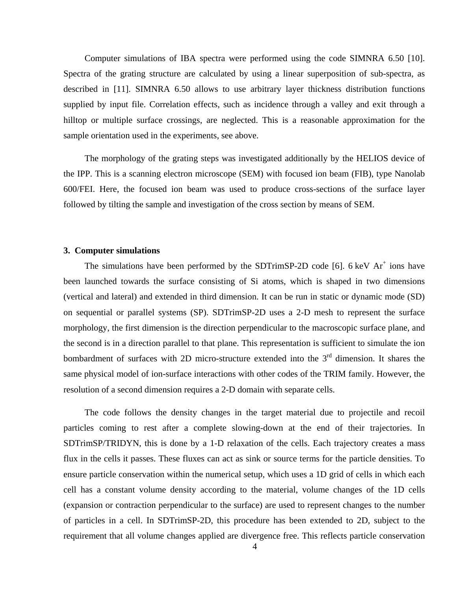Computer simulations of IBA spectra were performed using the code SIMNRA 6.50 [10]. Spectra of the grating structure are calculated by using a linear superposition of sub-spectra, as described in [11]. SIMNRA 6.50 allows to use arbitrary layer thickness distribution functions supplied by input file. Correlation effects, such as incidence through a valley and exit through a hilltop or multiple surface crossings, are neglected. This is a reasonable approximation for the sample orientation used in the experiments, see above.

The morphology of the grating steps was investigated additionally by the HELIOS device of the IPP. This is a scanning electron microscope (SEM) with focused ion beam (FIB), type Nanolab 600/FEI. Here, the focused ion beam was used to produce cross-sections of the surface layer followed by tilting the sample and investigation of the cross section by means of SEM.

#### **3. Computer simulations**

The simulations have been performed by the SDTrimSP-2D code [6].  $6 \text{ keV } Ar^+$  ions have been launched towards the surface consisting of Si atoms, which is shaped in two dimensions (vertical and lateral) and extended in third dimension. It can be run in static or dynamic mode (SD) on sequential or parallel systems (SP). SDTrimSP-2D uses a 2-D mesh to represent the surface morphology, the first dimension is the direction perpendicular to the macroscopic surface plane, and the second is in a direction parallel to that plane. This representation is sufficient to simulate the ion bombardment of surfaces with 2D micro-structure extended into the  $3<sup>rd</sup>$  dimension. It shares the same physical model of ion-surface interactions with other codes of the TRIM family. However, the resolution of a second dimension requires a 2-D domain with separate cells.

The code follows the density changes in the target material due to projectile and recoil particles coming to rest after a complete slowing-down at the end of their trajectories. In SDTrimSP/TRIDYN, this is done by a 1-D relaxation of the cells. Each trajectory creates a mass flux in the cells it passes. These fluxes can act as sink or source terms for the particle densities. To ensure particle conservation within the numerical setup, which uses a 1D grid of cells in which each cell has a constant volume density according to the material, volume changes of the 1D cells (expansion or contraction perpendicular to the surface) are used to represent changes to the number of particles in a cell. In SDTrimSP-2D, this procedure has been extended to 2D, subject to the requirement that all volume changes applied are divergence free. This reflects particle conservation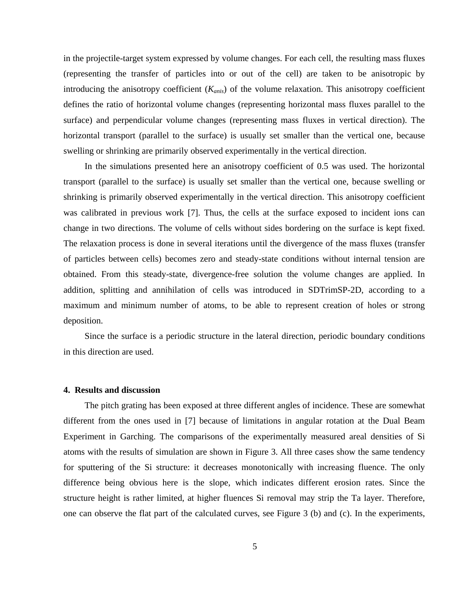in the projectile-target system expressed by volume changes. For each cell, the resulting mass fluxes (representing the transfer of particles into or out of the cell) are taken to be anisotropic by introducing the anisotropy coefficient (*Kanis*) of the volume relaxation. This anisotropy coefficient defines the ratio of horizontal volume changes (representing horizontal mass fluxes parallel to the surface) and perpendicular volume changes (representing mass fluxes in vertical direction). The horizontal transport (parallel to the surface) is usually set smaller than the vertical one, because swelling or shrinking are primarily observed experimentally in the vertical direction.

In the simulations presented here an anisotropy coefficient of 0.5 was used. The horizontal transport (parallel to the surface) is usually set smaller than the vertical one, because swelling or shrinking is primarily observed experimentally in the vertical direction. This anisotropy coefficient was calibrated in previous work [7]. Thus, the cells at the surface exposed to incident ions can change in two directions. The volume of cells without sides bordering on the surface is kept fixed. The relaxation process is done in several iterations until the divergence of the mass fluxes (transfer of particles between cells) becomes zero and steady-state conditions without internal tension are obtained. From this steady-state, divergence-free solution the volume changes are applied. In addition, splitting and annihilation of cells was introduced in SDTrimSP-2D, according to a maximum and minimum number of atoms, to be able to represent creation of holes or strong deposition.

Since the surface is a periodic structure in the lateral direction, periodic boundary conditions in this direction are used.

#### **4. Results and discussion**

The pitch grating has been exposed at three different angles of incidence. These are somewhat different from the ones used in [7] because of limitations in angular rotation at the Dual Beam Experiment in Garching. The comparisons of the experimentally measured areal densities of Si atoms with the results of simulation are shown in [Figure 3](#page-9-0). All three cases show the same tendency for sputtering of the Si structure: it decreases monotonically with increasing fluence. The only difference being obvious here is the slope, which indicates different erosion rates. Since the structure height is rather limited, at higher fluences Si removal may strip the Ta layer. Therefore, one can observe the flat part of the calculated curves, see [Figure 3](#page-9-0) (b) and (c). In the experiments,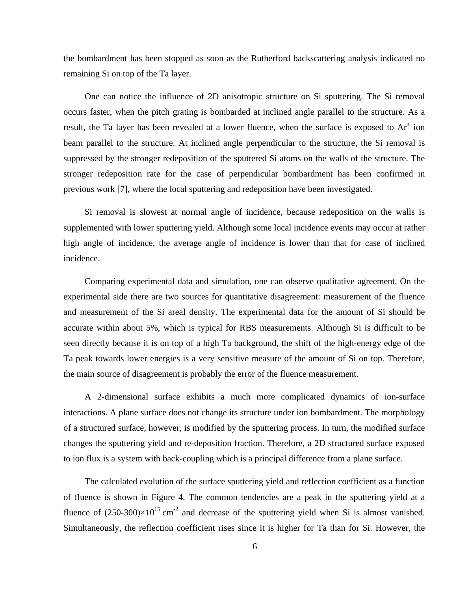the bombardment has been stopped as soon as the Rutherford backscattering analysis indicated no remaining Si on top of the Ta layer.

One can notice the influence of 2D anisotropic structure on Si sputtering. The Si removal occurs faster, when the pitch grating is bombarded at inclined angle parallel to the structure. As a result, the Ta layer has been revealed at a lower fluence, when the surface is exposed to  $Ar^+$  ion beam parallel to the structure. At inclined angle perpendicular to the structure, the Si removal is suppressed by the stronger redeposition of the sputtered Si atoms on the walls of the structure. The stronger redeposition rate for the case of perpendicular bombardment has been confirmed in previous work [7], where the local sputtering and redeposition have been investigated.

Si removal is slowest at normal angle of incidence, because redeposition on the walls is supplemented with lower sputtering yield. Although some local incidence events may occur at rather high angle of incidence, the average angle of incidence is lower than that for case of inclined incidence.

Comparing experimental data and simulation, one can observe qualitative agreement. On the experimental side there are two sources for quantitative disagreement: measurement of the fluence and measurement of the Si areal density. The experimental data for the amount of Si should be accurate within about 5%, which is typical for RBS measurements. Although Si is difficult to be seen directly because it is on top of a high Ta background, the shift of the high-energy edge of the Ta peak towards lower energies is a very sensitive measure of the amount of Si on top. Therefore, the main source of disagreement is probably the error of the fluence measurement.

A 2-dimensional surface exhibits a much more complicated dynamics of ion-surface interactions. A plane surface does not change its structure under ion bombardment. The morphology of a structured surface, however, is modified by the sputtering process. In turn, the modified surface changes the sputtering yield and re-deposition fraction. Therefore, a 2D structured surface exposed to ion flux is a system with back-coupling which is a principal difference from a plane surface.

The calculated evolution of the surface sputtering yield and reflection coefficient as a function of fluence is shown in [Figure 4](#page-10-0). The common tendencies are a peak in the sputtering yield at a fluence of  $(250-300)\times10^{15}$  cm<sup>-2</sup> and decrease of the sputtering yield when Si is almost vanished. Simultaneously, the reflection coefficient rises since it is higher for Ta than for Si. However, the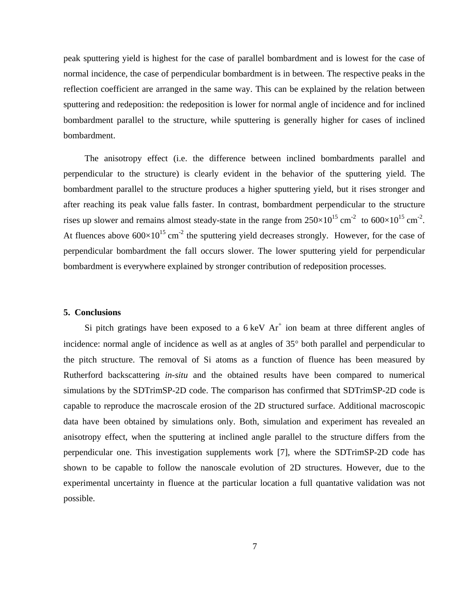peak sputtering yield is highest for the case of parallel bombardment and is lowest for the case of normal incidence, the case of perpendicular bombardment is in between. The respective peaks in the reflection coefficient are arranged in the same way. This can be explained by the relation between sputtering and redeposition: the redeposition is lower for normal angle of incidence and for inclined bombardment parallel to the structure, while sputtering is generally higher for cases of inclined bombardment.

The anisotropy effect (i.e. the difference between inclined bombardments parallel and perpendicular to the structure) is clearly evident in the behavior of the sputtering yield. The bombardment parallel to the structure produces a higher sputtering yield, but it rises stronger and after reaching its peak value falls faster. In contrast, bombardment perpendicular to the structure rises up slower and remains almost steady-state in the range from  $250 \times 10^{15}$  cm<sup>-2</sup> to  $600 \times 10^{15}$  cm<sup>-2</sup>. At fluences above  $600\times10^{15}$  cm<sup>-2</sup> the sputtering yield decreases strongly. However, for the case of perpendicular bombardment the fall occurs slower. The lower sputtering yield for perpendicular bombardment is everywhere explained by stronger contribution of redeposition processes.

# **5. Conclusions**

Si pitch gratings have been exposed to a  $6 \text{ keV}$   $\text{Ar}^+$  ion beam at three different angles of incidence: normal angle of incidence as well as at angles of 35° both parallel and perpendicular to the pitch structure. The removal of Si atoms as a function of fluence has been measured by Rutherford backscattering *in-situ* and the obtained results have been compared to numerical simulations by the SDTrimSP-2D code. The comparison has confirmed that SDTrimSP-2D code is capable to reproduce the macroscale erosion of the 2D structured surface. Additional macroscopic data have been obtained by simulations only. Both, simulation and experiment has revealed an anisotropy effect, when the sputtering at inclined angle parallel to the structure differs from the perpendicular one. This investigation supplements work [7], where the SDTrimSP-2D code has shown to be capable to follow the nanoscale evolution of 2D structures. However, due to the experimental uncertainty in fluence at the particular location a full quantative validation was not possible.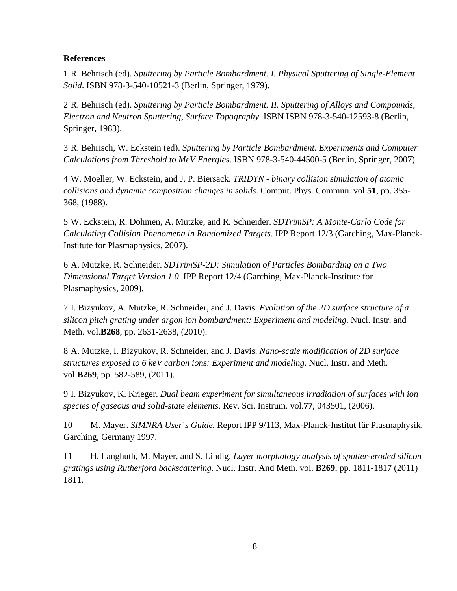# **References**

1 R. Behrisch (ed). *Sputtering by Particle Bombardment. I. Physical Sputtering of Single-Element Solid*. ISBN 978-3-540-10521-3 (Berlin, Springer, 1979).

2 R. Behrisch (ed). *Sputtering by Particle Bombardment. II. Sputtering of Alloys and Compounds, Electron and Neutron Sputtering, Surface Topography*. ISBN ISBN 978-3-540-12593-8 (Berlin, Springer, 1983).

3 R. Behrisch, W. Eckstein (ed). *Sputtering by Particle Bombardment. Experiments and Computer Calculations from Threshold to MeV Energies*. ISBN 978-3-540-44500-5 (Berlin, Springer, 2007).

4 W. Moeller, W. Eckstein, and J. P. Biersack. *TRIDYN - binary collision simulation of atomic collisions and dynamic composition changes in solids*. Comput. Phys. Commun. vol.**51**, pp. 355- 368, (1988).

5 W. Eckstein, R. Dohmen, A. Mutzke, and R. Schneider. *SDTrimSP: A Monte-Carlo Code for Calculating Collision Phenomena in Randomized Targets*. IPP Report 12/3 (Garching, Max-Planck-Institute for Plasmaphysics, 2007).

6 A. Mutzke, R. Schneider. *SDTrimSP-2D: Simulation of Particles Bombarding on a Two Dimensional Target Version 1.0*. IPP Report 12/4 (Garching, Max-Planck-Institute for Plasmaphysics, 2009).

7 I. Bizyukov, A. Mutzke, R. Schneider, and J. Davis. *Evolution of the 2D surface structure of a silicon pitch grating under argon ion bombardment: Experiment and modeling*. Nucl. Instr. and Meth. vol.**B268**, pp. 2631-2638, (2010).

8 A. Mutzke, I. Bizyukov, R. Schneider, and J. Davis. *Nano-scale modification of 2D surface structures exposed to 6 keV carbon ions: Experiment and modeling*. Nucl. Instr. and Meth. vol.**B269**, pp. 582-589, (2011).

9 I. Bizyukov, K. Krieger. *Dual beam experiment for simultaneous irradiation of surfaces with ion species of gaseous and solid-state elements*. Rev. Sci. Instrum. vol.**77**, 043501, (2006).

10 M. Mayer. *SIMNRA User´s Guide.* Report IPP 9/113, Max-Planck-Institut für Plasmaphysik, Garching, Germany 1997.

11 H. Langhuth, M. Mayer, and S. Lindig. *Layer morphology analysis of sputter-eroded silicon gratings using Rutherford backscattering*. Nucl. Instr. And Meth. vol. **B269**, pp. 1811-1817 (2011) 1811.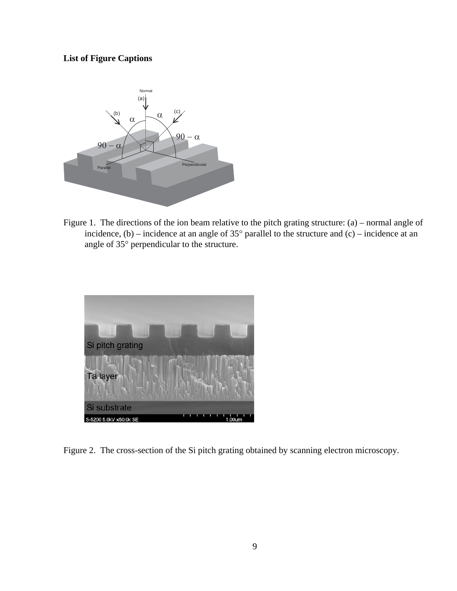# **List of Figure Captions**

<span id="page-8-0"></span>

Figure 1. The directions of the ion beam relative to the pitch grating structure: (a) – normal angle of incidence,  $(b)$  – incidence at an angle of 35 $^{\circ}$  parallel to the structure and  $(c)$  – incidence at an angle of 35° perpendicular to the structure.

<span id="page-8-1"></span>

Figure 2. The cross-section of the Si pitch grating obtained by scanning electron microscopy.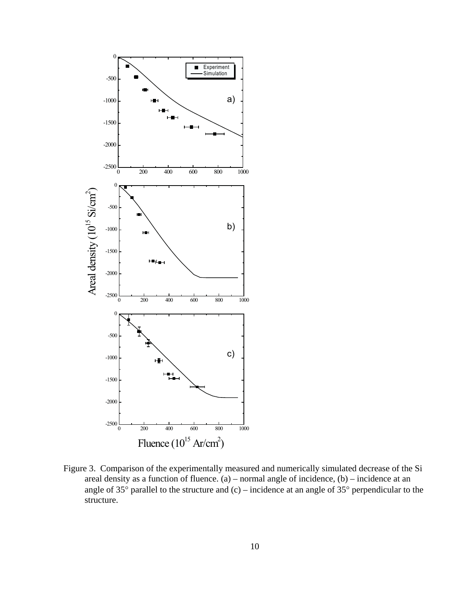

<span id="page-9-0"></span>Figure 3. Comparison of the experimentally measured and numerically simulated decrease of the Si areal density as a function of fluence.  $(a)$  – normal angle of incidence,  $(b)$  – incidence at an angle of 35° parallel to the structure and (c) – incidence at an angle of 35° perpendicular to the structure.